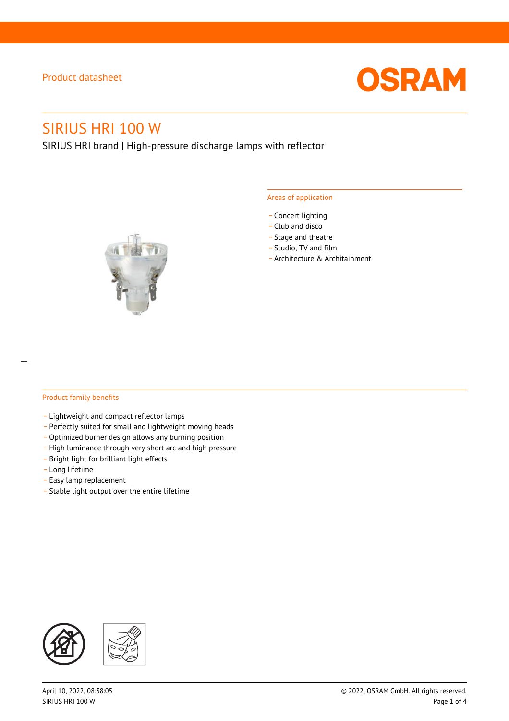

# SIRIUS HRI 100 W

SIRIUS HRI brand | High-pressure discharge lamps with reflector



#### Areas of application

- Concert lighting
- \_ Club and disco
- Stage and theatre
- \_ Studio, TV and film
- \_ Architecture & Architainment

#### Product family benefits

- \_ Lightweight and compact reflector lamps
- \_ Perfectly suited for small and lightweight moving heads
- Optimized burner design allows any burning position
- High luminance through very short arc and high pressure
- \_ Bright light for brilliant light effects
- \_ Long lifetime
- \_ Easy lamp replacement
- \_ Stable light output over the entire lifetime

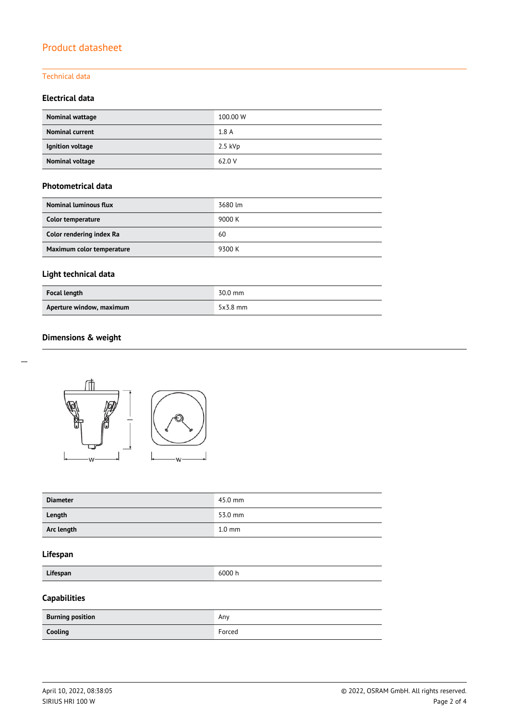#### Technical data

#### **Electrical data**

| Nominal wattage        | 100.00 W  |
|------------------------|-----------|
| <b>Nominal current</b> | 1.8A      |
| Ignition voltage       | $2.5$ kVp |
| Nominal voltage        | 62.0 V    |

#### **Photometrical data**

| <b>Nominal luminous flux</b> | 3680 lm |
|------------------------------|---------|
| Color temperature            | 9000 K  |
| Color rendering index Ra     | 60      |
| Maximum color temperature    | 9300 K  |

# **Light technical data**

| <b>Focal length</b>      | 30.0 mm    |
|--------------------------|------------|
| Aperture window, maximum | $5x3.8$ mm |

### **Dimensions & weight**



| <b>Diameter</b> | 45.0 mm          |
|-----------------|------------------|
| Length          | 53.0 mm          |
| Arc length      | $1.0 \text{ mm}$ |

#### **Lifespan**

| Lifespan |
|----------|
|----------|

**Lifespan** 6000 h

# **Capabilities**

| <b>Burning position</b> | Any    |
|-------------------------|--------|
| Cooling                 | Forced |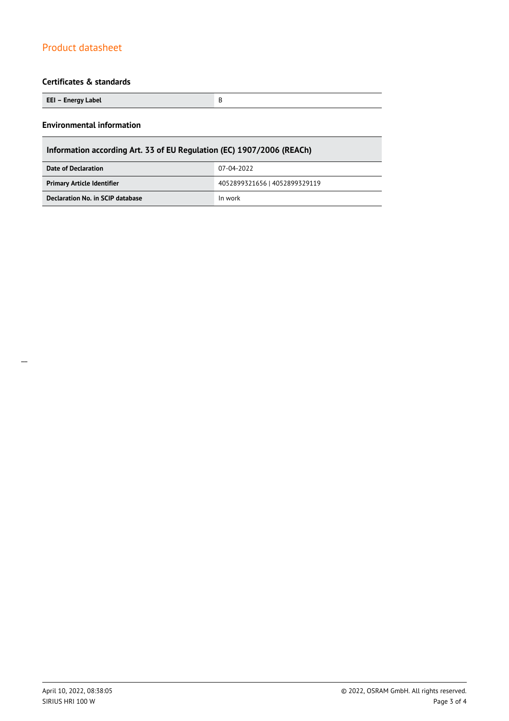### **Certificates & standards**

| EEI – Energy Label |  |
|--------------------|--|

#### **Environmental information**

 $\overline{a}$ 

| Information according Art. 33 of EU Regulation (EC) 1907/2006 (REACh) |                               |  |
|-----------------------------------------------------------------------|-------------------------------|--|
| Date of Declaration                                                   | 07-04-2022                    |  |
| <b>Primary Article Identifier</b>                                     | 4052899321656   4052899329119 |  |
| Declaration No. in SCIP database                                      | In work                       |  |